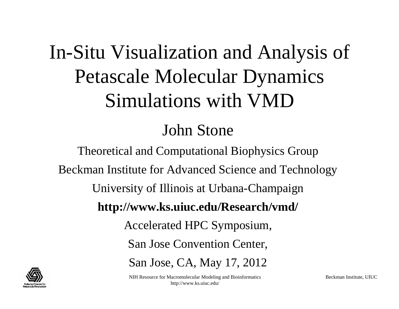# In-Situ Visualization and Analysis of Petascale Molecular Dynamics Simulations with VMD

### John Stone

Theoretical and Computational Biophysics Group Beckman Institute for Advanced Science and Technology University of Illinois at Urbana-Champaign **http://www.ks.uiuc.edu/Research/vmd/** Accelerated HPC Symposium, San Jose Convention Center, San Jose, CA, May 17, 2012



NIH Resource for Macromolecular Modeling and Bioinformatics http://www.ks.uiuc.edu/

Beckman Institute, UIUC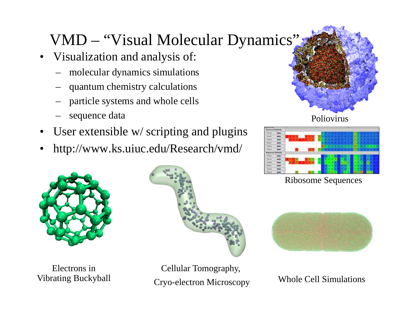# VMD – "Visual Molecular Dynamics"

- • Visualization and analysis of:
	- –molecular dynamics simulations
	- –quantum chemistry calculations
	- –particle systems and whole cells
	- –sequence data
- •User extensible w/ scripting and plugins
- •http://www.ks.uiuc.edu/Research/vmd/



Electrons in Vibrating Buckyball



 $\sim$  Modeling and Bioinformatics  $\sim$ Cryo-electron Microscopy Cellular Tomography,





Ribosome Sequences



Whole Cell Simulations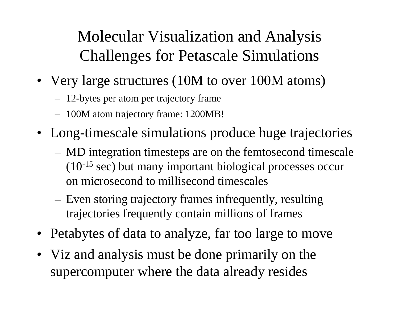## Molecular Visualization and Analysis Challenges for Petascale Simulations

- Very large structures (10M to over 100M atoms)
	- 12-bytes per atom per trajectory frame
	- 100M atom trajectory frame: 1200MB!
- Long-timescale simulations produce huge trajectories
	- MD integration timesteps are on the femtosecond timescale (10-15 sec) but many important biological processes occur on microsecond to millisecond timescales
	- Even storing trajectory frames infrequently, resulting trajectories frequently contain millions of frames
- Petabytes of data to analyze, far too large to move
- supercomputer where the data already resides • Viz and analysis must be done primarily on the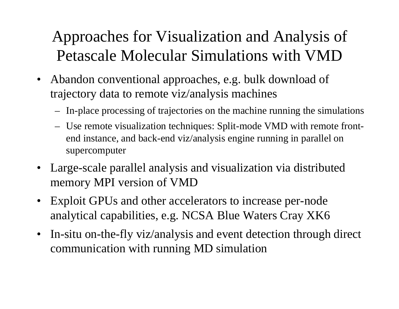## Approaches for Visualization and Analysis of Petascale Molecular Simulations with VMD

- Abandon conventional approaches, e.g. bulk download of trajectory data to remote viz/analysis machines
	- In-place processing of trajectories on the machine running the simulations
	- Use remote visualization techniques: Split-mode VMD with remote frontend instance, and back-end viz/analysis engine running in parallel on supercomputer
- Large-scale parallel analysis and visualization via distributed memory MPI version of VMD
- Exploit GPUs and other accelerators to increase per-node analytical capabilities, e.g. NCSA Blue Waters Cray XK6
- In-situ on-the-fly viz/analysis and event detection through direct communication with running MD simulation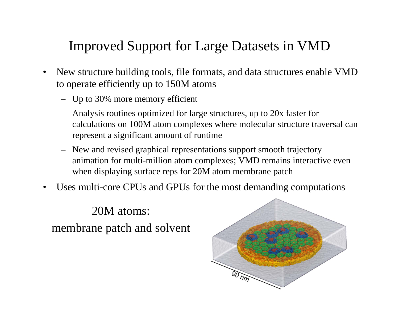#### Improved Support for Large Datasets in VMD

- • New structure building tools, file formats, and data structures enable VMD to operate efficiently up to 150M atoms
	- Up to 30% more memory efficient
	- Analysis routines optimized for large structures, up to 20x faster for calculations on 100M atom complexes where molecular structure traversal can represent a significant amount of runtime
	- New and revised graphical representations support smooth trajectory animation for multi-million atom complexes; VMD remains interactive even when displaying surface reps for 20M atom membrane patch
- •Uses multi-core CPUs and GPUs for the most demanding computations

20M atoms: membrane patch and solvent

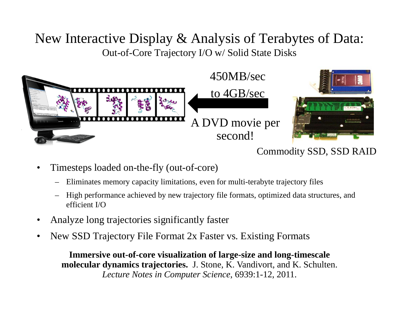#### New Interactive Display & Analysis of Terabytes of Data: Out-of-Core Trajectory I/O w/ Solid State Disks



#### Commodity SSD, SSD RAID

- • Timesteps loaded on-the-fly (out-of-core)
	- Eliminates memory capacity limitations, even for multi-terabyte trajectory files
	- – High performance achieved by new trajectory file formats, optimized data structures, and efficient I/O
- •Analyze long trajectories significantly faster
- •New SSD Trajectory File Format 2x Faster vs. Existing Formats

NIH Resource for Macromolecular Modeling and Bioinformatics *Lecture Notes in Computer Science*, 6939:1-12, 2011. **Immersive out-of-core visualization of large-size and long-timescale molecular dynamics trajectories.** J. Stone, K. Vandivort, and K. Schulten.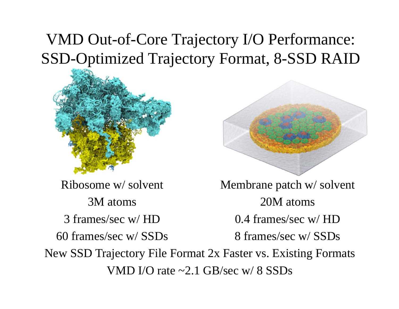#### VMD Out-of-Core Trajectory I/O Performance: SSD-Optimized Trajectory Format, 8-SSD RAID



Ribosome w/ solvent 3M atoms3 frames/sec w/ HD60 frames/sec w/ SSDsMembrane patch w/ solvent 20M atoms0.4 frames/sec w/ HD8 frames/sec w/ SSDsNew SSD Trajectory File Format 2x Faster vs. Existing Formats VMD I/O rate ~2.1 GB/sec w/ 8 SSDs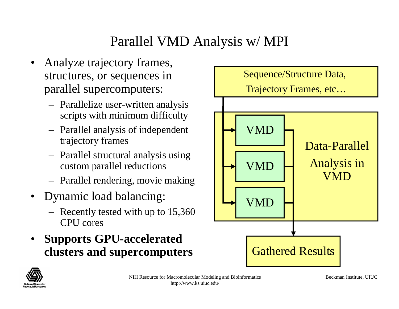#### Parallel VMD Analysis w/ MPI

- • Analyze trajectory frames, structures, or sequences in parallel supercomputers:
	- Parallelize user-written analysis scripts with minimum difficulty
	- Parallel analysis of independent trajectory frames
	- Parallel structural analysis using custom parallel reductions
	- Parallel rendering, movie making
- • Dynamic load balancing:
	- Recently tested with up to 15,360 CPU cores
- • **Supports GPU-accelerated clusters and supercomputers**



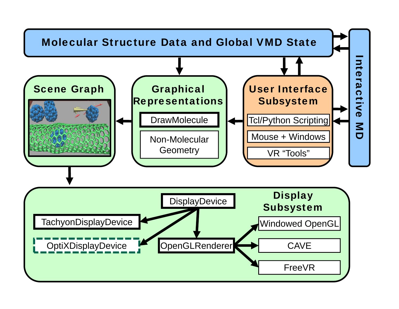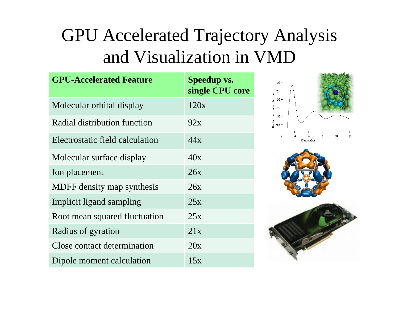# GPU Accelerated Trajectory Analysis and Visualization in VMD

| <b>GPU-Accelerated Feature</b>  | <b>Speedup vs.</b><br>single CPU core |
|---------------------------------|---------------------------------------|
| Molecular orbital display       | 120x                                  |
| Radial distribution function    | 92x                                   |
| Electrostatic field calculation | 44x                                   |
| Molecular surface display       | 40x                                   |
| Ion placement                   | 26x                                   |
| MDFF density map synthesis      | 26x                                   |
| Implicit ligand sampling        | 25x                                   |
| Root mean squared fluctuation   | 25x                                   |
| Radius of gyration              | 21x                                   |
| Close contact determination     | 20x                                   |
| Dipole moment calculation       | 15x                                   |





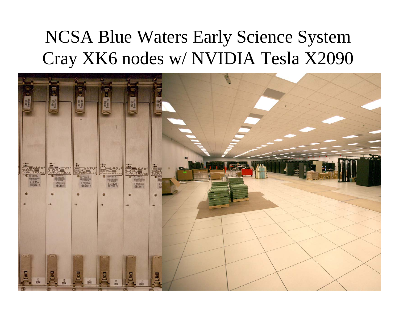# NCSA Blue Waters Early Science System Cray XK6 nodes w/ NVIDIA Tesla X2090

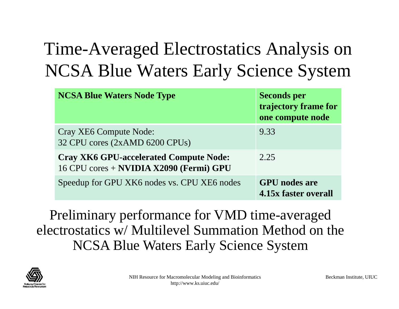# Time-Averaged Electrostatics Analysis on NCSA Blue Waters Early Science System

| <b>NCSA Blue Waters Node Type</b>                                                        | <b>Seconds per</b><br>trajectory frame for<br>one compute node |
|------------------------------------------------------------------------------------------|----------------------------------------------------------------|
| Cray XE6 Compute Node:<br>32 CPU cores (2xAMD 6200 CPUs)                                 | 9.33                                                           |
| <b>Cray XK6 GPU-accelerated Compute Node:</b><br>16 CPU cores + NVIDIA X2090 (Fermi) GPU | 2.25                                                           |
| Speedup for GPU XK6 nodes vs. CPU XE6 nodes                                              | <b>GPU</b> nodes are<br>4.15x faster overall                   |

Preliminary performance for VMD time-averaged electrostatics w/ Multilevel Summation Method on the NCSA Blue Waters Early Science System

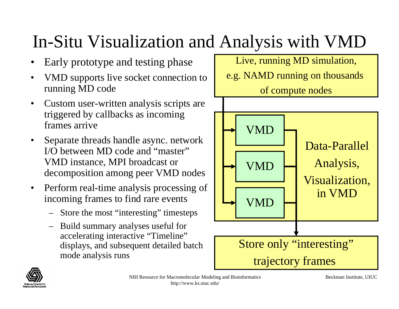# In-Situ Visualization and Analysis with VMD

- •Early prototype and testing phase
- $\bullet$  VMD supports live socket connection to running MD code
- $\bullet$  Custom user-written analysis scripts are triggered by callbacks as incoming frames arrive
- • Separate threads handle async. network I/O between MD code and "master" VMD instance, MPI broadcast or decomposition among peer VMD nodes
- $\bullet$  Perform real-time analysis processing of incoming frames to find rare events
	- Store the most "interesting" timesteps
	- Build summary analyses useful for accelerating interactive "Timeline" displays, and subsequent detailed batch mode analysis runs

Live, running MD simulation, e.g. NAMD running on thousands of compute nodes





Beckman Institute, UIUC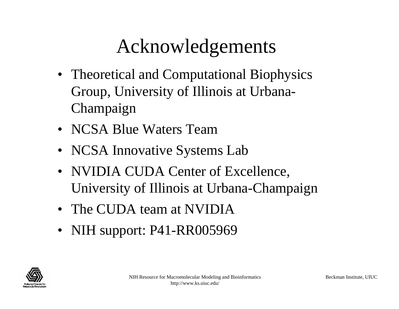# Acknowledgements

- Theoretical and Computational Biophysics Group, University of Illinois at Urbana-Champaign
- NCSA Blue Waters Team
- NCSA Innovative Systems Lab
- NVIDIA CUDA Center of Excellence, University of Illinois at Urbana-Champaign
- The CUDA team at NVIDIA
- NIH support: P41-RR005969

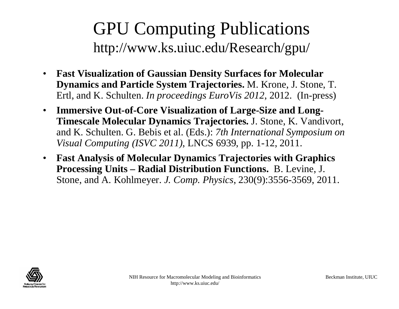# GPU Computing Publications http://www.ks.uiuc.edu/Research/gpu/

- $\bullet$  **Fast Visualization of Gaussian Density Surfaces for Molecular Dynamics and Particle System Trajectories.** M. Krone, J. Stone, T. Ertl, and K. Schulten. *In proceedings EuroVis 2012*, 2012. (In-press)
- $\bullet$  **Immersive Out-of-Core Visualization of Large-Size and Long-Timescale Molecular Dynamics Trajectories.** J. Stone, K. Vandivort, and K. Schulten. G. Bebis et al. (Eds.): *7th International Symposium on Visual Computing (ISVC 2011)*, LNCS 6939, pp. 1-12, 2011.
- $\bullet$  **Fast Analysis of Molecular Dynamics Trajectories with Graphics Processing Units – Radial Distribution Functions.** B. Levine, J. Stone, and A. Kohlmeyer. *J. Comp. Physics*, 230(9):3556-3569, 2011.

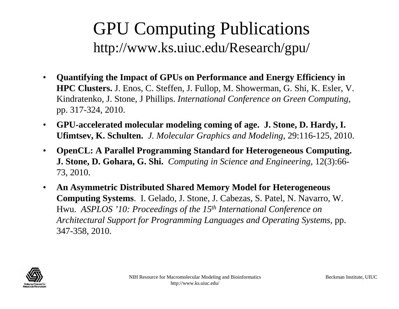# GPU Computing Publications http://www.ks.uiuc.edu/Research/gpu/

- $\bullet$  **Quantifying the Impact of GPUs on Performance and Energy Efficiency in HPC Clusters.** J. Enos, C. Steffen, J. Fullop, M. Showerman, G. Shi, K. Esler, V. Kindratenko, J. Stone, J Phillips. *International Conference on Green Computing,*  pp. 317-324, 2010.
- $\bullet$  **GPU-accelerated molecular modeling coming of age. J. Stone, D. Hardy, I. Ufimtsev, K. Schulten.** *J. Molecular Graphics and Modeling,* 29:116-125, 2010.
- $\bullet$  **OpenCL: A Parallel Programming Standard for Heterogeneous Computing. J. Stone, D. Gohara, G. Shi.** *Computing in Science and Engineering,* 12(3):66- 73, 2010.
- $\bullet$  **An Asymmetric Distributed Shared Memory Model for Heterogeneous Computing Systems**. I. Gelado, J. Stone, J. Cabezas, S. Patel, N. Navarro, W. Hwu. *ASPLOS '10: Proceedings of the 15th International Conference on Architectural Support for Programming Languages and Operating Systems,* pp. 347-358, 2010.

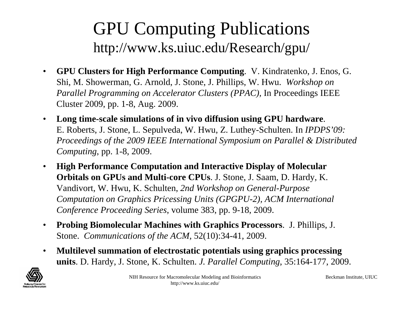# GPU Computing Publications http://www.ks.uiuc.edu/Research/gpu/

- $\bullet$  **GPU Clusters for High Performance Computing**. V. Kindratenko, J. Enos, G. Shi, M. Showerman, G. Arnold, J. Stone, J. Phillips, W. Hwu. *Workshop on Parallel Programming on Accelerator Clusters (PPAC),* In Proceedings IEEE Cluster 2009, pp. 1-8, Aug. 2009.
- $\bullet$  **Long time-scale simulations of in vivo diffusion using GPU hardware**. E. Roberts, J. Stone, L. Sepulveda, W. Hwu, Z. Luthey-Schulten. In *IPDPS'09: Proceedings of the 2009 IEEE International Symposium on Parallel & Distributed Computing*, pp. 1-8, 2009.
- $\bullet$  **High Performance Computation and Interactive Display of Molecular Orbitals on GPUs and Multi-core CPUs**. J. Stone, J. Saam, D. Hardy, K. Vandivort, W. Hwu, K. Schulten, *2nd Workshop on General-Purpose Computation on Graphics Pricessing Units (GPGPU-2), ACM International Conference Proceeding Series*, volume 383, pp. 9-18, 2009.
- $\bullet$  **Probing Biomolecular Machines with Graphics Processors**. J. Phillips, J. Stone. *Communications of the ACM,* 52(10):34-41, 2009.
- $\bullet$  **Multilevel summation of electrostatic potentials using graphics processing units**. D. Hardy, J. Stone, K. Schulten. *J. Parallel Computing*, 35:164-177, 2009.